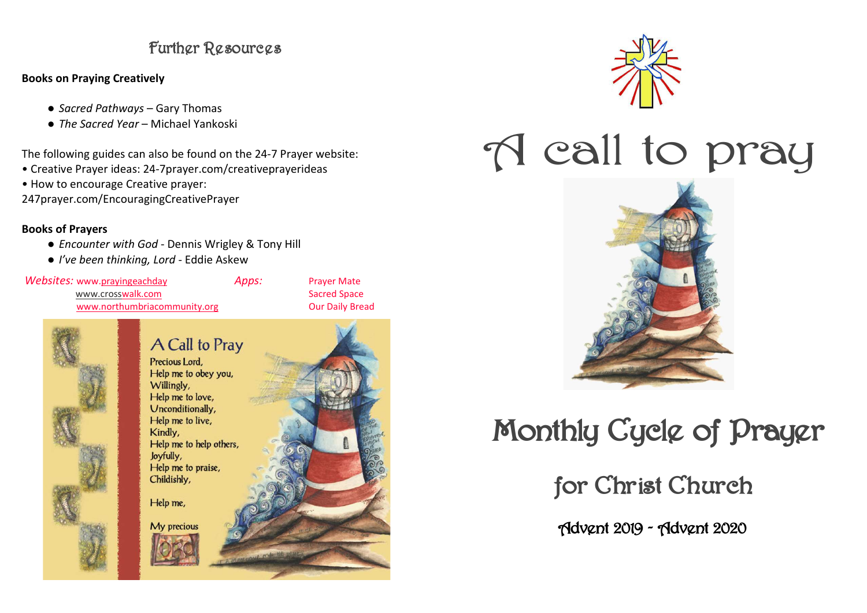#### Further Resources

#### Books on Praying Creatively

- Sacred Pathways Gary Thomas
- The Sacred Year Michael Yankoski

The following guides can also be found on the 24-7 Prayer website:

- Creative Prayer ideas: 24-7prayer.com/creativeprayerideas
- How to encourage Creative prayer:

247prayer.com/EncouragingCreativePrayer

#### Books of Prayers

- Encounter with God Dennis Wrigley & Tony Hill
- I've been thinking, Lord Eddie Askew

Websites: www.prayingeachday Mebsites: www.prayingeachday www.crosswalk.com www.northumbriacommunity.org

**Prayer Mate**  Sacred Space Our Daily Bread



#### A Call to Pray Precious Lord. Help me to obey you. Willingly, Help me to love. Unconditionally, Help me to live, Kindly, Help me to help others. Joyfully, Help me to praise, Childishly, Help me, My precious



# A call to pray



## Monthly Cycle of Prayer

for Christ Church

Advent 2019 - Advent 2020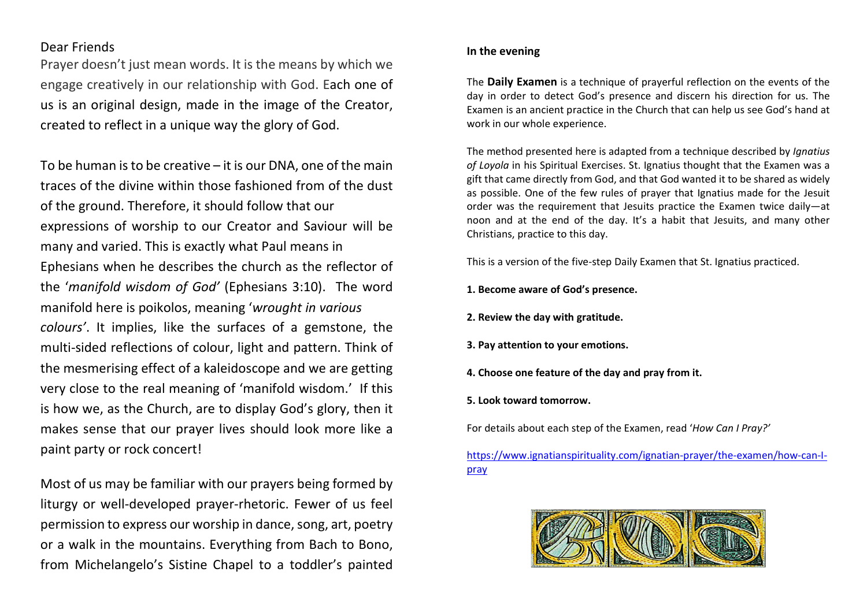#### Dear Friends

Prayer doesn't just mean words. It is the means by which we engage creatively in our relationship with God. Each one of us is an original design, made in the image of the Creator, created to reflect in a unique way the glory of God.

To be human is to be creative – it is our DNA, one of the main traces of the divine within those fashioned from of the dust of the ground. Therefore, it should follow that our expressions of worship to our Creator and Saviour will be many and varied. This is exactly what Paul means in Ephesians when he describes the church as the reflector of the 'manifold wisdom of God' (Ephesians 3:10). The word manifold here is poikolos, meaning 'wrought in various colours'. It implies, like the surfaces of a gemstone, the multi-sided reflections of colour, light and pattern. Think of the mesmerising effect of a kaleidoscope and we are getting very close to the real meaning of 'manifold wisdom.' If this is how we, as the Church, are to display God's glory, then it makes sense that our prayer lives should look more like a paint party or rock concert!

Most of us may be familiar with our prayers being formed by liturgy or well-developed prayer-rhetoric. Fewer of us feel permission to express our worship in dance, song, art, poetry or a walk in the mountains. Everything from Bach to Bono, from Michelangelo's Sistine Chapel to a toddler's painted

#### In the evening

The Daily Examen is a technique of prayerful reflection on the events of the day in order to detect God's presence and discern his direction for us. The Examen is an ancient practice in the Church that can help us see God's hand at work in our whole experience.

The method presented here is adapted from a technique described by *Ignatius* of Loyola in his Spiritual Exercises. St. Ignatius thought that the Examen was a gift that came directly from God, and that God wanted it to be shared as widely as possible. One of the few rules of prayer that Ignatius made for the Jesuit order was the requirement that Jesuits practice the Examen twice daily—at noon and at the end of the day. It's a habit that Jesuits, and many other Christians, practice to this day.

This is a version of the five-step Daily Examen that St. Ignatius practiced.

- 1. Become aware of God's presence.
- 2. Review the day with gratitude.
- 3. Pay attention to your emotions.
- 4. Choose one feature of the day and pray from it.
- 5. Look toward tomorrow.

For details about each step of the Examen, read 'How Can I Pray?'

https://www.ignatianspirituality.com/ignatian-prayer/the-examen/how-can-Ipray

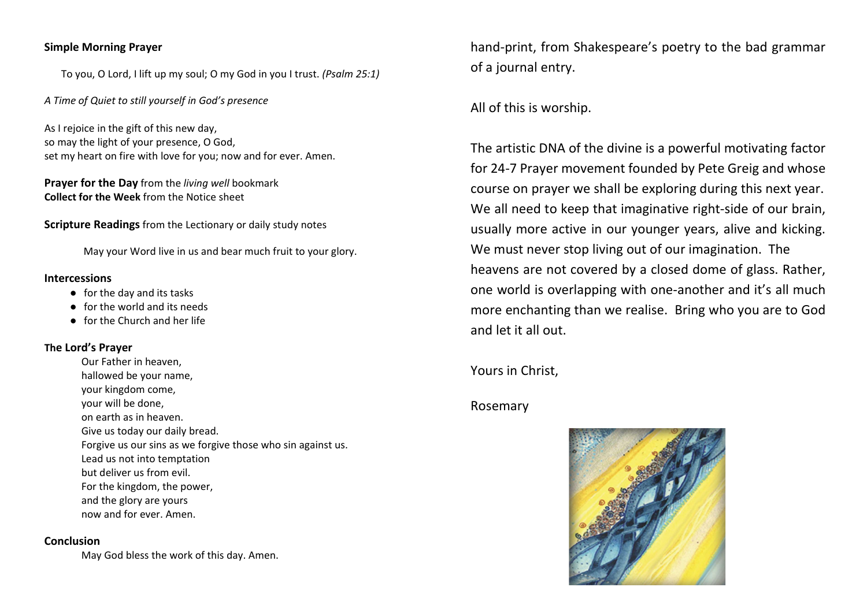#### Simple Morning Prayer

To you, O Lord, I lift up my soul; O my God in you I trust. (Psalm 25:1)

A Time of Quiet to still yourself in God's presence

As I rejoice in the gift of this new day, so may the light of your presence, O God, set my heart on fire with love for you; now and for ever. Amen.

Prayer for the Day from the living well bookmark Collect for the Week from the Notice sheet

Scripture Readings from the Lectionary or daily study notes

May your Word live in us and bear much fruit to your glory.

#### Intercessions

- for the day and its tasks
- for the world and its needs
- for the Church and her life

#### The Lord's Prayer

Our Father in heaven, hallowed be your name, your kingdom come, your will be done, on earth as in heaven. Give us today our daily bread. Forgive us our sins as we forgive those who sin against us. Lead us not into temptation but deliver us from evil. For the kingdom, the power, and the glory are yours now and for ever. Amen.

#### Conclusion

May God bless the work of this day. Amen.

hand-print, from Shakespeare's poetry to the bad grammar of a journal entry.

All of this is worship.

The artistic DNA of the divine is a powerful motivating factor for 24-7 Prayer movement founded by Pete Greig and whose course on prayer we shall be exploring during this next year. We all need to keep that imaginative right-side of our brain, usually more active in our younger years, alive and kicking. We must never stop living out of our imagination. The heavens are not covered by a closed dome of glass. Rather, one world is overlapping with one-another and it's all much more enchanting than we realise. Bring who you are to God and let it all out.

Yours in Christ,

#### Rosemary

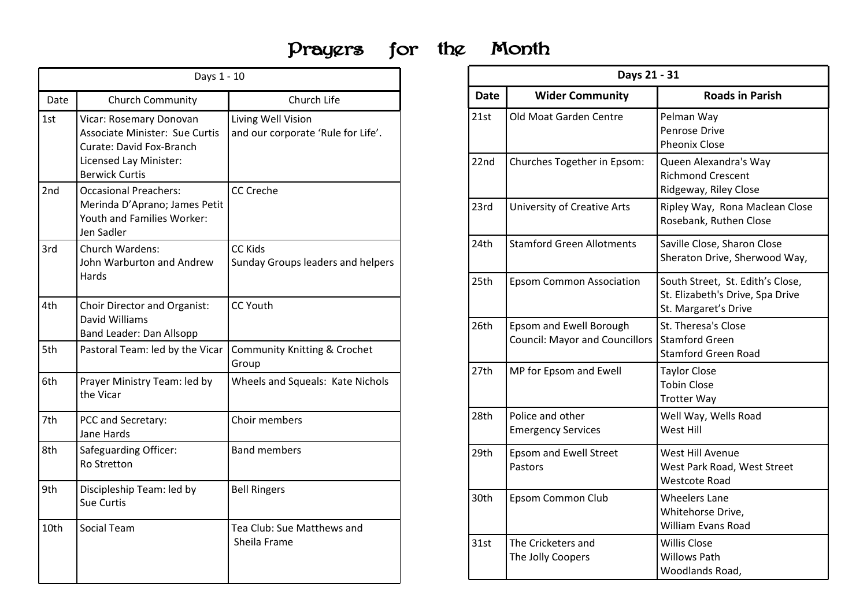## Prayers for the Month Prayers for the Month

|      | Days 1 - 10                                                                                               | Prayers                                                  | the<br>for | Month       | D                                             |
|------|-----------------------------------------------------------------------------------------------------------|----------------------------------------------------------|------------|-------------|-----------------------------------------------|
| Date | Church Community                                                                                          | Church Life                                              |            | <b>Date</b> | <b>Wider Community</b>                        |
| 1st  | Vicar: Rosemary Donovan<br><b>Associate Minister: Sue Curtis</b><br>Curate: David Fox-Branch              | Living Well Vision<br>and our corporate 'Rule for Life'. |            | 21st        | Old Moat Garden Centre                        |
|      | Licensed Lay Minister:<br><b>Berwick Curtis</b>                                                           |                                                          |            | 22nd        | Churches Together in Eps                      |
| 2nd  | <b>Occasional Preachers:</b><br>Merinda D'Aprano; James Petit<br>Youth and Families Worker:<br>Jen Sadler | <b>CC Creche</b>                                         |            | 23rd        | University of Creative Art                    |
| 3rd  | Church Wardens:<br>John Warburton and Andrew                                                              | <b>CC Kids</b><br>Sunday Groups leaders and helpers      |            | 24th        | <b>Stamford Green Allotmer</b>                |
|      | Hards                                                                                                     |                                                          |            | 25th        | <b>Epsom Common Associat</b>                  |
| 4th  | Choir Director and Organist:<br>David Williams<br>Band Leader: Dan Allsopp                                | CC Youth                                                 |            | 26th        | <b>Epsom and Ewell Borougl</b>                |
| 5th  | Pastoral Team: led by the Vicar                                                                           | Community Knitting & Crochet<br>Group                    |            |             | <b>Council: Mayor and Coun</b>                |
| 6th  | Prayer Ministry Team: led by<br>the Vicar                                                                 | Wheels and Squeals: Kate Nichols                         |            | 27th        | MP for Epsom and Ewell                        |
| 7th  | PCC and Secretary:<br>Jane Hards                                                                          | Choir members                                            |            | 28th        | Police and other<br><b>Emergency Services</b> |
| 8th  | <b>Safeguarding Officer:</b><br>Ro Stretton                                                               | <b>Band members</b>                                      |            | 29th        | Epsom and Ewell Street<br>Pastors             |
| 9th  | Discipleship Team: led by<br>Sue Curtis                                                                   | <b>Bell Ringers</b>                                      |            | 30th        | Epsom Common Club                             |
| 10th | Social Team                                                                                               | Tea Club: Sue Matthews and<br>Sheila Frame               |            | 31st        | The Cricketers and<br>The Jolly Coopers       |

|             | Month                                                            |                                                                                              |  |
|-------------|------------------------------------------------------------------|----------------------------------------------------------------------------------------------|--|
| <b>Date</b> | Days 21 - 31<br><b>Wider Community</b>                           | <b>Roads in Parish</b>                                                                       |  |
| 21st        | Old Moat Garden Centre                                           | Pelman Way<br>Penrose Drive<br><b>Pheonix Close</b>                                          |  |
| 22nd        | Churches Together in Epsom:                                      | Queen Alexandra's Way<br><b>Richmond Crescent</b><br>Ridgeway, Riley Close                   |  |
| 23rd        | University of Creative Arts                                      | Ripley Way, Rona Maclean Close<br>Rosebank, Ruthen Close                                     |  |
| 24th        | <b>Stamford Green Allotments</b>                                 | Saville Close, Sharon Close<br>Sheraton Drive, Sherwood Way,                                 |  |
| 25th        | <b>Epsom Common Association</b>                                  | South Street, St. Edith's Close,<br>St. Elizabeth's Drive, Spa Drive<br>St. Margaret's Drive |  |
| 26th        | Epsom and Ewell Borough<br><b>Council: Mayor and Councillors</b> | St. Theresa's Close<br><b>Stamford Green</b><br><b>Stamford Green Road</b>                   |  |
| 27th        | MP for Epsom and Ewell                                           | <b>Taylor Close</b><br><b>Tobin Close</b><br><b>Trotter Way</b>                              |  |
| 28th        | Police and other<br><b>Emergency Services</b>                    | Well Way, Wells Road<br>West Hill                                                            |  |
| 29th        | Epsom and Ewell Street<br>Pastors                                | West Hill Avenue<br>West Park Road, West Street<br><b>Westcote Road</b>                      |  |
| 30th        | Epsom Common Club                                                | <b>Wheelers Lane</b><br>Whitehorse Drive,<br>William Evans Road                              |  |
| 31st        | The Cricketers and<br>The Jolly Coopers                          | <b>Willis Close</b><br><b>Willows Path</b><br>Woodlands Road,                                |  |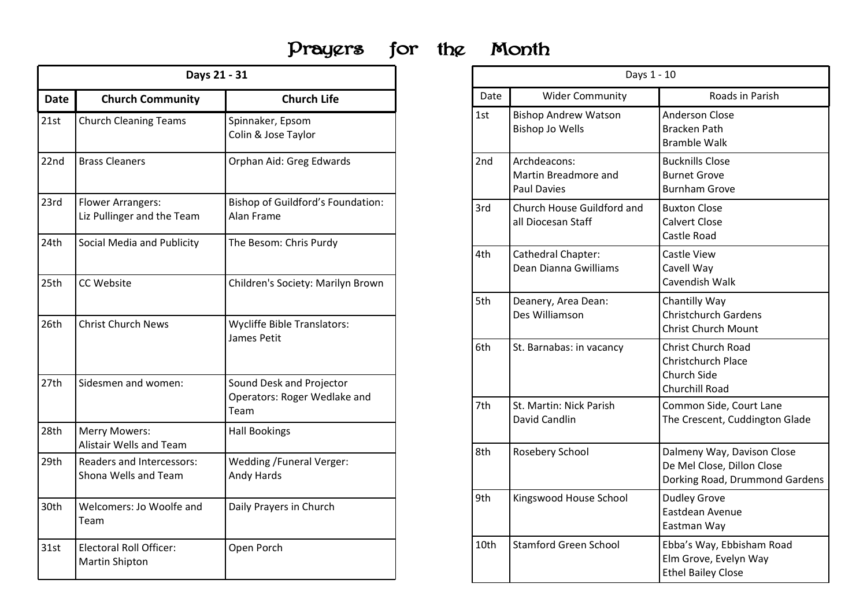## Prayers for the

|             |                                                         | Days 21 - 31                                                     |      |                                                       |
|-------------|---------------------------------------------------------|------------------------------------------------------------------|------|-------------------------------------------------------|
| <b>Date</b> | <b>Church Community</b>                                 | <b>Church Life</b>                                               | Date | Wider Communi <sup>®</sup>                            |
| 21st        | <b>Church Cleaning Teams</b>                            | Spinnaker, Epsom<br>Colin & Jose Taylor                          | 1st  | <b>Bishop Andrew Watsor</b><br><b>Bishop Jo Wells</b> |
| 22nd        | <b>Brass Cleaners</b>                                   | Orphan Aid: Greg Edwards                                         | 2nd  | Archdeacons:<br>Martin Breadmore and<br>Paul Davies   |
| 23rd        | Flower Arrangers:<br>Liz Pullinger and the Team         | <b>Bishop of Guildford's Foundation:</b><br>Alan Frame           | 3rd  | Church House Guildford<br>all Diocesan Staff          |
| 24th        | Social Media and Publicity                              | The Besom: Chris Purdy                                           | 4th  | Cathedral Chapter:<br>Dean Dianna Gwilliams           |
| 25th        | CC Website                                              | Children's Society: Marilyn Brown                                | 5th  | Deanery, Area Dean:<br>Des Williamson                 |
| 26th        | Christ Church News                                      | <b>Wycliffe Bible Translators:</b><br>James Petit                | 6th  | St. Barnabas: in vacanc                               |
| 27th        | Sidesmen and women:                                     | Sound Desk and Projector<br>Operators: Roger Wedlake and<br>Team | 7th  | St. Martin: Nick Parish                               |
| 28th        | <b>Merry Mowers:</b><br>Alistair Wells and Team         | <b>Hall Bookings</b>                                             |      | David Candlin                                         |
| 29th        | Readers and Intercessors:<br>Shona Wells and Team       | <b>Wedding /Funeral Verger:</b><br>Andy Hards                    | 8th  | Rosebery School                                       |
| 30th        | Welcomers: Jo Woolfe and<br>Team                        | Daily Prayers in Church                                          | 9th  | Kingswood House Scho                                  |
| 31st        | <b>Electoral Roll Officer:</b><br><b>Martin Shipton</b> | Open Porch                                                       | 10th | <b>Stamford Green School</b>                          |

| IQ | Month |
|----|-------|
|    |       |

|      | Month                                                      |                                                                                            |  |
|------|------------------------------------------------------------|--------------------------------------------------------------------------------------------|--|
|      | Days 1 - 10                                                |                                                                                            |  |
| Date | <b>Wider Community</b>                                     | Roads in Parish                                                                            |  |
| 1st  | <b>Bishop Andrew Watson</b><br><b>Bishop Jo Wells</b>      | <b>Anderson Close</b><br><b>Bracken Path</b><br><b>Bramble Walk</b>                        |  |
| 2nd  | Archdeacons:<br>Martin Breadmore and<br><b>Paul Davies</b> | <b>Bucknills Close</b><br><b>Burnet Grove</b><br><b>Burnham Grove</b>                      |  |
| 3rd  | Church House Guildford and<br>all Diocesan Staff           | <b>Buxton Close</b><br><b>Calvert Close</b><br>Castle Road                                 |  |
| 4th  | Cathedral Chapter:<br>Dean Dianna Gwilliams                | Castle View<br>Cavell Way<br>Cavendish Walk                                                |  |
| 5th  | Deanery, Area Dean:<br>Des Williamson                      | Chantilly Way<br><b>Christchurch Gardens</b><br><b>Christ Church Mount</b>                 |  |
| 6th  | St. Barnabas: in vacancy                                   | Christ Church Road<br>Christchurch Place<br>Church Side<br>Churchill Road                  |  |
| 7th  | St. Martin: Nick Parish<br>David Candlin                   | Common Side, Court Lane<br>The Crescent, Cuddington Glade                                  |  |
| 8th  | Rosebery School                                            | Dalmeny Way, Davison Close<br>De Mel Close, Dillon Close<br>Dorking Road, Drummond Gardens |  |
| 9th  | Kingswood House School                                     | <b>Dudley Grove</b><br>Eastdean Avenue<br>Eastman Way                                      |  |
| 10th | <b>Stamford Green School</b>                               | Ebba's Way, Ebbisham Road<br>Elm Grove, Evelyn Way<br><b>Ethel Bailey Close</b>            |  |